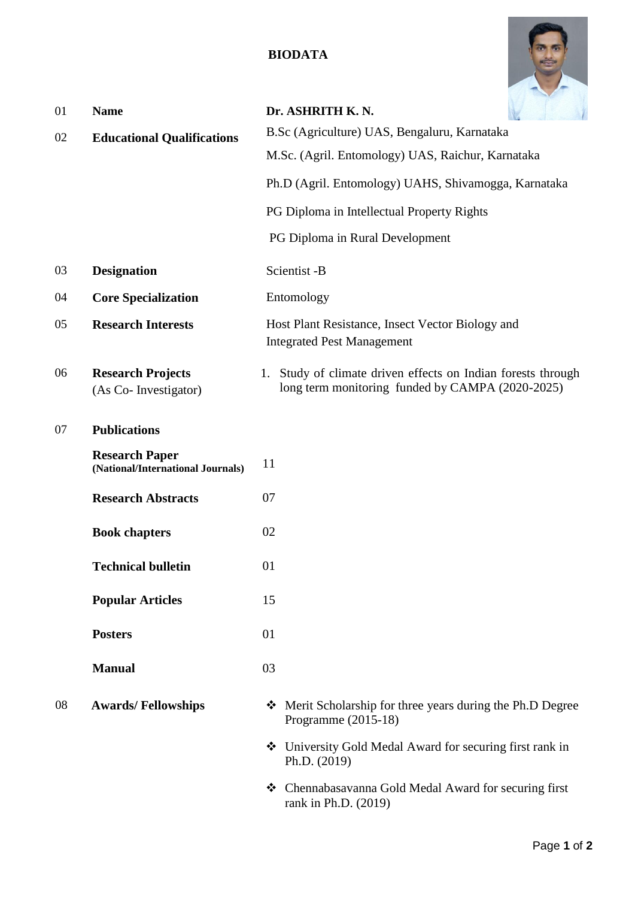## **BIODATA**



| 01 | <b>Name</b>                                                | Dr. ASHRITH K.N.                                                                                                 |
|----|------------------------------------------------------------|------------------------------------------------------------------------------------------------------------------|
| 02 | <b>Educational Qualifications</b>                          | B.Sc (Agriculture) UAS, Bengaluru, Karnataka                                                                     |
|    |                                                            | M.Sc. (Agril. Entomology) UAS, Raichur, Karnataka                                                                |
|    |                                                            | Ph.D (Agril. Entomology) UAHS, Shivamogga, Karnataka                                                             |
|    |                                                            | PG Diploma in Intellectual Property Rights                                                                       |
|    |                                                            | PG Diploma in Rural Development                                                                                  |
| 03 | <b>Designation</b>                                         | Scientist -B                                                                                                     |
| 04 | <b>Core Specialization</b>                                 | Entomology                                                                                                       |
| 05 | <b>Research Interests</b>                                  | Host Plant Resistance, Insect Vector Biology and<br><b>Integrated Pest Management</b>                            |
| 06 | <b>Research Projects</b><br>(As Co- Investigator)          | 1. Study of climate driven effects on Indian forests through<br>long term monitoring funded by CAMPA (2020-2025) |
| 07 | <b>Publications</b>                                        |                                                                                                                  |
|    | <b>Research Paper</b><br>(National/International Journals) | 11                                                                                                               |
|    | <b>Research Abstracts</b>                                  | 07                                                                                                               |
|    | <b>Book chapters</b>                                       | 02                                                                                                               |
|    | <b>Technical bulletin</b>                                  | 01                                                                                                               |
|    | <b>Popular Articles</b>                                    | 15                                                                                                               |
|    | <b>Posters</b>                                             | 01                                                                                                               |
|    | <b>Manual</b>                                              | 03                                                                                                               |
| 08 | <b>Awards/Fellowships</b>                                  | ❖ Merit Scholarship for three years during the Ph.D Degree<br>Programme $(2015-18)$                              |
|    |                                                            | University Gold Medal Award for securing first rank in<br>Ph.D. (2019)                                           |
|    |                                                            | ❖ Chennabasavanna Gold Medal Award for securing first<br>rank in Ph.D. (2019)                                    |